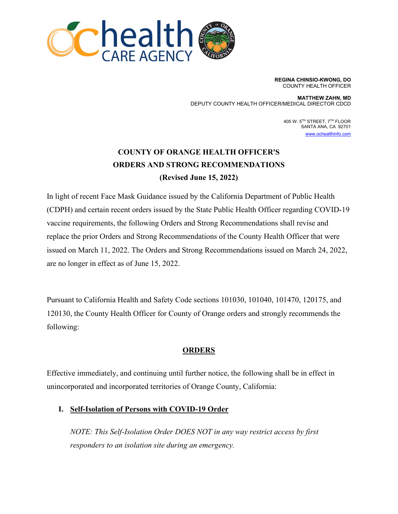

**REGINA CHINSIO-KWONG, DO** COUNTY HEALTH OFFICER

**MATTHEW ZAHN, MD** DEPUTY COUNTY HEALTH OFFICER/MEDICAL DIRECTOR CDCD

> 405 W. 5TH STREET, 7TH FLOOR SANTA ANA, CA 92701 [www.ochealthinfo.com](http://www.ochealthinfo.com/)

# **COUNTY OF ORANGE HEALTH OFFICER'S ORDERS AND STRONG RECOMMENDATIONS (Revised June 15, 2022)**

In light of recent Face Mask Guidance issued by the California Department of Public Health (CDPH) and certain recent orders issued by the State Public Health Officer regarding COVID-19 vaccine requirements, the following Orders and Strong Recommendations shall revise and replace the prior Orders and Strong Recommendations of the County Health Officer that were issued on March 11, 2022. The Orders and Strong Recommendations issued on March 24, 2022, are no longer in effect as of June 15, 2022.

Pursuant to California Health and Safety Code sections 101030, 101040, 101470, 120175, and 120130, the County Health Officer for County of Orange orders and strongly recommends the following:

### **ORDERS**

Effective immediately, and continuing until further notice, the following shall be in effect in unincorporated and incorporated territories of Orange County, California:

### **I. Self-Isolation of Persons with COVID-19 Order**

*NOTE: This Self-Isolation Order DOES NOT in any way restrict access by first responders to an isolation site during an emergency.*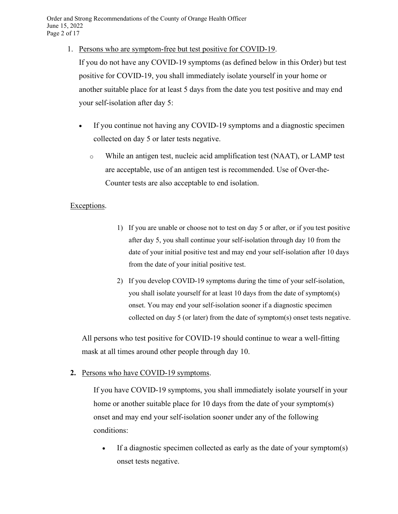1. Persons who are symptom-free but test positive for COVID-19.

If you do not have any COVID-19 symptoms (as defined below in this Order) but test positive for COVID-19, you shall immediately isolate yourself in your home or another suitable place for at least 5 days from the date you test positive and may end your self-isolation after day 5:

- If you continue not having any COVID-19 symptoms and a diagnostic specimen collected on day 5 or later tests negative.
	- o While an antigen test, nucleic acid amplification test (NAAT), or LAMP test are acceptable, use of an antigen test is recommended. Use of Over-the-Counter tests are also acceptable to end isolation.

### Exceptions.

- 1) If you are unable or choose not to test on day 5 or after, or if you test positive after day 5, you shall continue your self-isolation through day 10 from the date of your initial positive test and may end your self-isolation after 10 days from the date of your initial positive test.
- 2) If you develop COVID-19 symptoms during the time of your self-isolation, you shall isolate yourself for at least 10 days from the date of symptom(s) onset. You may end your self-isolation sooner if a diagnostic specimen collected on day 5 (or later) from the date of symptom(s) onset tests negative.

All persons who test positive for COVID-19 should continue to wear a well-fitting mask at all times around other people through day 10.

**2.** Persons who have COVID-19 symptoms.

If you have COVID-19 symptoms, you shall immediately isolate yourself in your home or another suitable place for 10 days from the date of your symptom(s) onset and may end your self-isolation sooner under any of the following conditions:

• If a diagnostic specimen collected as early as the date of your symptom(s) onset tests negative.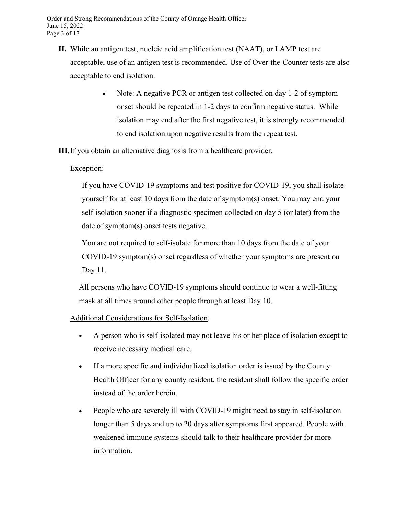- **II.** While an antigen test, nucleic acid amplification test (NAAT), or LAMP test are acceptable, use of an antigen test is recommended. Use of Over-the-Counter tests are also acceptable to end isolation.
	- Note: A negative PCR or antigen test collected on day 1-2 of symptom onset should be repeated in 1-2 days to confirm negative status. While isolation may end after the first negative test, it is strongly recommended to end isolation upon negative results from the repeat test.

**III.**If you obtain an alternative diagnosis from a healthcare provider.

#### Exception:

If you have COVID-19 symptoms and test positive for COVID-19, you shall isolate yourself for at least 10 days from the date of symptom(s) onset. You may end your self-isolation sooner if a diagnostic specimen collected on day 5 (or later) from the date of symptom(s) onset tests negative.

You are not required to self-isolate for more than 10 days from the date of your COVID-19 symptom(s) onset regardless of whether your symptoms are present on Day 11.

All persons who have COVID-19 symptoms should continue to wear a well-fitting mask at all times around other people through at least Day 10.

Additional Considerations for Self-Isolation.

- A person who is self-isolated may not leave his or her place of isolation except to receive necessary medical care.
- If a more specific and individualized isolation order is issued by the County Health Officer for any county resident, the resident shall follow the specific order instead of the order herein.
- People who are severely ill with COVID-19 might need to stay in self-isolation longer than 5 days and up to 20 days after symptoms first appeared. People with weakened immune systems should talk to their healthcare provider for more information.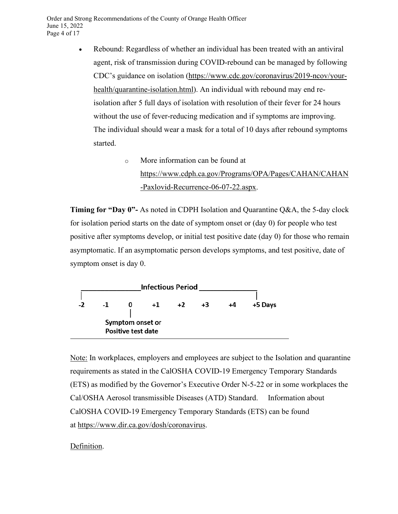- Rebound: Regardless of whether an individual has been treated with an antiviral agent, risk of transmission during COVID-rebound can be managed by following CDC's guidance on isolation [\(https://www.cdc.gov/coronavirus/2019-ncov/your](https://www.cdc.gov/coronavirus/2019-ncov/your-health/quarantine-isolation.html)[health/quarantine-isolation.html\)](https://www.cdc.gov/coronavirus/2019-ncov/your-health/quarantine-isolation.html). An individual with rebound may end reisolation after 5 full days of isolation with resolution of their fever for 24 hours without the use of fever-reducing medication and if symptoms are improving. The individual should wear a mask for a total of 10 days after rebound symptoms started.
	- o More information can be found at [https://www.cdph.ca.gov/Programs/OPA/Pages/CAHAN/CAHAN](https://www.cdph.ca.gov/Programs/OPA/Pages/CAHAN/CAHAN-Paxlovid-Recurrence-06-07-22.aspx) [-Paxlovid-Recurrence-06-07-22.aspx.](https://www.cdph.ca.gov/Programs/OPA/Pages/CAHAN/CAHAN-Paxlovid-Recurrence-06-07-22.aspx)

**Timing for "Day 0"-** As noted in [CDPH Isolation and Quarantine Q&A,](https://www.cdph.ca.gov/Programs/CID/DCDC/Pages/COVID-19/Isolation-Quarantine-QA.aspx) the 5-day clock for isolation period starts on the date of symptom onset or (day 0) for people who test positive after symptoms develop, or initial test positive date (day 0) for those who remain asymptomatic. If an asymptomatic person develops symptoms, and test positive, date of symptom onset is day 0.



Note: In workplaces, employers and employees are subject to the Isolation and quarantine requirements as stated in the CalOSHA COVID-19 Emergency Temporary Standards (ETS) as modified by the Governor's Executive Order N-5-22 or in some workplaces the Cal/OSHA Aerosol transmissible Diseases (ATD) Standard. Information about CalOSHA COVID-19 Emergency Temporary Standards (ETS) can be found at [https://www.dir.ca.gov/dosh/coronavirus.](https://www.dir.ca.gov/dosh/coronavirus)

### Definition.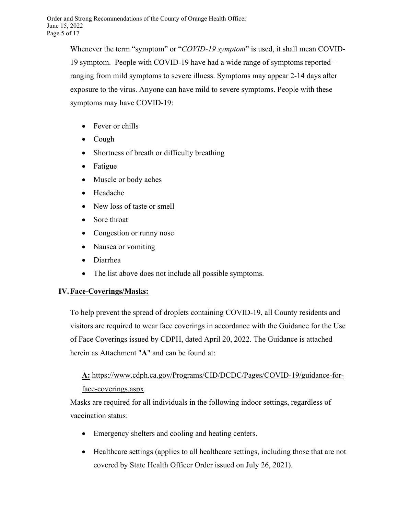Whenever the term "symptom" or "*COVID-19 symptom*" is used, it shall mean COVID-19 symptom. People with COVID-19 have had a wide range of symptoms reported – ranging from mild symptoms to severe illness. Symptoms may appear 2-14 days after exposure to the virus. Anyone can have mild to severe symptoms. People with these symptoms may have COVID-19:

- Fever or chills
- Cough
- Shortness of breath or difficulty breathing
- Fatigue
- Muscle or body aches
- Headache
- New loss of taste or smell
- Sore throat
- Congestion or runny nose
- Nausea or vomiting
- Diarrhea
- The list above does not include all possible symptoms.

## **IV.Face-Coverings/Masks:**

To help prevent the spread of droplets containing COVID-19, all County residents and visitors are required to wear face coverings in accordance with the Guidance for the Use of Face Coverings issued by CDPH, dated April 20, 2022. The Guidance is attached herein as Attachment "**A**" and can be found at:

# **A:** [https://www.cdph.ca.gov/Programs/CID/DCDC/Pages/COVID-19/guidance-for](https://www.cdph.ca.gov/Programs/CID/DCDC/Pages/COVID-19/guidance-for-face-coverings.aspx)[face-coverings.aspx.](https://www.cdph.ca.gov/Programs/CID/DCDC/Pages/COVID-19/guidance-for-face-coverings.aspx)

Masks are required for all individuals in the following indoor settings, regardless of vaccination status:

- Emergency shelters and cooling and heating centers.
- Healthcare settings (applies to all healthcare settings, including those that are not covered by State Health Officer Order issued on July 26, 2021).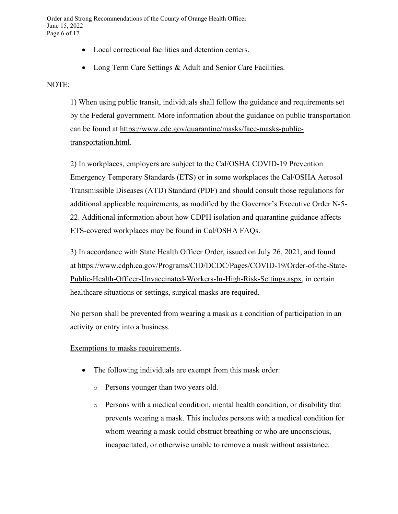Order and Strong Recommendations of the County of Orange Health Officer June 15, 2022 Page 6 of 17

- Local correctional facilities and detention centers.
- Long Term Care Settings & Adult and Senior Care Facilities.

#### NOTE:

1) When using public transit, individuals shall follow the guidance and requirements set by the Federal government. More information about the guidance on public transportation can be found at [https://www.cdc.gov/quarantine/masks/face-masks-public](https://www.cdc.gov/quarantine/masks/face-masks-public-transportation.html)[transportation.html.](https://www.cdc.gov/quarantine/masks/face-masks-public-transportation.html)

2) In workplaces, employers are subject to the Cal/OSHA COVID-19 Prevention Emergency Temporary Standards (ETS) or in some workplaces the Cal/OSHA Aerosol Transmissible Diseases (ATD) Standard (PDF) and should consult those regulations for additional applicable requirements, as modified by the Governor's Executive Order N-5- 22. Additional information about how CDPH isolation and quarantine guidance affects ETS-covered workplaces may be found in Cal/OSHA FAQs.

3) In accordance with State Health Officer Order, issued on July 26, 2021, and found at [https://www.cdph.ca.gov/Programs/CID/DCDC/Pages/COVID-19/Order-of-the-State-](https://www.cdph.ca.gov/Programs/CID/DCDC/Pages/COVID-19/Order-of-the-State-Public-Health-Officer-Unvaccinated-Workers-In-High-Risk-Settings.aspx)[Public-Health-Officer-Unvaccinated-Workers-In-High-Risk-Settings.aspx,](https://www.cdph.ca.gov/Programs/CID/DCDC/Pages/COVID-19/Order-of-the-State-Public-Health-Officer-Unvaccinated-Workers-In-High-Risk-Settings.aspx) in certain healthcare situations or settings, surgical masks are required.

No person shall be prevented from wearing a mask as a condition of participation in an activity or entry into a business.

#### Exemptions to masks requirements.

- The following individuals are exempt from this mask order:
	- o Persons younger than two years old.
	- $\circ$  Persons with a medical condition, mental health condition, or disability that prevents wearing a mask. This includes persons with a medical condition for whom wearing a mask could obstruct breathing or who are unconscious, incapacitated, or otherwise unable to remove a mask without assistance.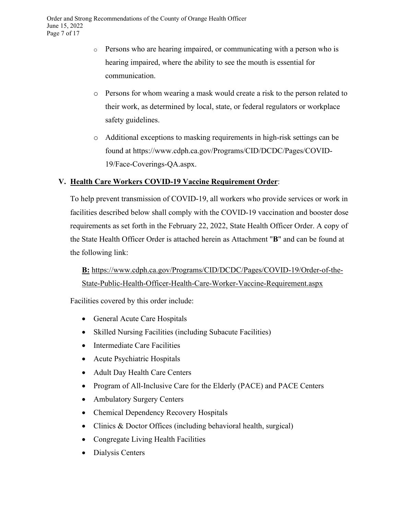- o Persons who are hearing impaired, or communicating with a person who is hearing impaired, where the ability to see the mouth is essential for communication.
- o Persons for whom wearing a mask would create a risk to the person related to their work, as determined by local, state, or federal regulators or workplace safety guidelines.
- o Additional exceptions to masking requirements in high-risk settings can be found at https://www.cdph.ca.gov/Programs/CID/DCDC/Pages/COVID-19/Face-Coverings-QA.aspx.

### **V. Health Care Workers COVID-19 Vaccine Requirement Order**:

To help prevent transmission of COVID-19, all workers who provide services or work in facilities described below shall comply with the COVID-19 vaccination and booster dose requirements as set forth in the February 22, 2022, State Health Officer Order. A copy of the State Health Officer Order is attached herein as Attachment "**B**" and can be found at the following link:

**B:** [https://www.cdph.ca.gov/Programs/CID/DCDC/Pages/COVID-19/Order-of-the-](https://www.cdph.ca.gov/Programs/CID/DCDC/Pages/COVID-19/Order-of-the-State-Public-Health-Officer-Health-Care-Worker-Vaccine-Requirement.aspx)[State-Public-Health-Officer-Health-Care-Worker-Vaccine-Requirement.aspx](https://www.cdph.ca.gov/Programs/CID/DCDC/Pages/COVID-19/Order-of-the-State-Public-Health-Officer-Health-Care-Worker-Vaccine-Requirement.aspx)

Facilities covered by this order include:

- General Acute Care Hospitals
- Skilled Nursing Facilities (including Subacute Facilities)
- Intermediate Care Facilities
- Acute Psychiatric Hospitals
- Adult Day Health Care Centers
- Program of All-Inclusive Care for the Elderly (PACE) and PACE Centers
- Ambulatory Surgery Centers
- Chemical Dependency Recovery Hospitals
- Clinics & Doctor Offices (including behavioral health, surgical)
- Congregate Living Health Facilities
- Dialysis Centers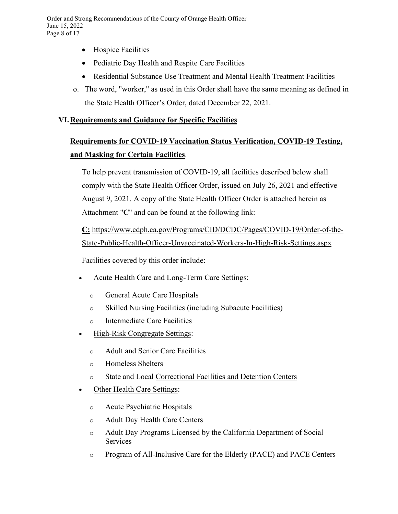- Hospice Facilities
- Pediatric Day Health and Respite Care Facilities
- Residential Substance Use Treatment and Mental Health Treatment Facilities
- o. The word, "worker," as used in this Order shall have the same meaning as defined in the State Health Officer's Order, dated December 22, 2021.

## **VI.Requirements and Guidance for Specific Facilities**

# **Requirements for COVID-19 Vaccination Status Verification, COVID-19 Testing, and Masking for Certain Facilities**.

To help prevent transmission of COVID-19, all facilities described below shall comply with the State Health Officer Order, issued on July 26, 2021 and effective August 9, 2021. A copy of the State Health Officer Order is attached herein as Attachment "**C**" and can be found at the following link:

**C:** [https://www.cdph.ca.gov/Programs/CID/DCDC/Pages/COVID-19/Order-of-the-](https://www.cdph.ca.gov/Programs/CID/DCDC/Pages/COVID-19/Order-of-the-State-Public-Health-Officer-Unvaccinated-Workers-In-High-Risk-Settings.aspx)[State-Public-Health-Officer-Unvaccinated-Workers-In-High-Risk-Settings.aspx](https://www.cdph.ca.gov/Programs/CID/DCDC/Pages/COVID-19/Order-of-the-State-Public-Health-Officer-Unvaccinated-Workers-In-High-Risk-Settings.aspx)

Facilities covered by this order include:

- Acute Health Care and Long-Term Care Settings:
	- o General Acute Care Hospitals
	- o Skilled Nursing Facilities (including Subacute Facilities)
	- o Intermediate Care Facilities
- High-Risk Congregate Settings:
	- o Adult and Senior Care Facilities
	- o Homeless Shelters
	- o State and Local [Correctional](https://www.cdc.gov/coronavirus/2019-ncov/community/correction-detention/guidance-correctional-detention.html#infection-control) Facilities and Detention Centers
- Other Health Care Settings:
	- o Acute Psychiatric Hospitals
	- o Adult Day Health Care Centers
	- o Adult Day Programs Licensed by the California Department of Social Services
	- o Program of All-Inclusive Care for the Elderly (PACE) and PACE Centers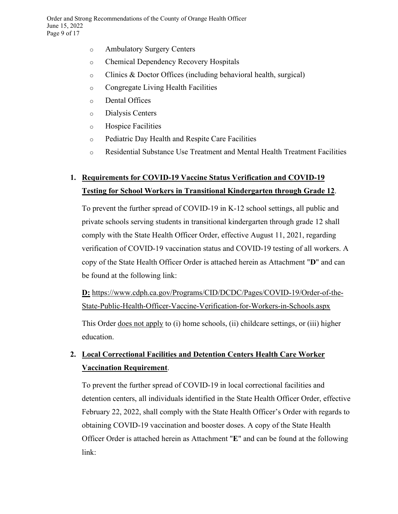- o Ambulatory Surgery Centers
- o Chemical Dependency Recovery Hospitals
- o Clinics & Doctor Offices (including behavioral health, surgical)
- o Congregate Living Health Facilities
- o Dental Offices
- o Dialysis Centers
- o Hospice Facilities
- o Pediatric Day Health and Respite Care Facilities
- o Residential Substance Use Treatment and Mental Health Treatment Facilities

# **1. Requirements for COVID-19 Vaccine Status Verification and COVID-19 Testing for School Workers in Transitional Kindergarten through Grade 12**.

To prevent the further spread of COVID-19 in K-12 school settings, all public and private schools serving students in transitional kindergarten through grade 12 shall comply with the State Health Officer Order, effective August 11, 2021, regarding verification of COVID-19 vaccination status and COVID-19 testing of all workers. A copy of the State Health Officer Order is attached herein as Attachment "**D**" and can be found at the following link:

**D:** [https://www.cdph.ca.gov/Programs/CID/DCDC/Pages/COVID-19/Order-of-the-](https://www.cdph.ca.gov/Programs/CID/DCDC/Pages/COVID-19/Order-of-the-State-Public-Health-Officer-Vaccine-Verification-for-Workers-in-Schools.aspx)[State-Public-Health-Officer-Vaccine-Verification-for-Workers-in-Schools.aspx](https://www.cdph.ca.gov/Programs/CID/DCDC/Pages/COVID-19/Order-of-the-State-Public-Health-Officer-Vaccine-Verification-for-Workers-in-Schools.aspx)

This Order <u>does not apply</u> to (i) home schools, (ii) childcare settings, or (iii) higher education.

## **2. Local Correctional Facilities and Detention Centers Health Care Worker Vaccination Requirement**.

To prevent the further spread of COVID-19 in local correctional facilities and detention centers, all individuals identified in the State Health Officer Order, effective February 22, 2022, shall comply with the State Health Officer's Order with regards to obtaining COVID-19 vaccination and booster doses. A copy of the State Health Officer Order is attached herein as Attachment "**E**" and can be found at the following link: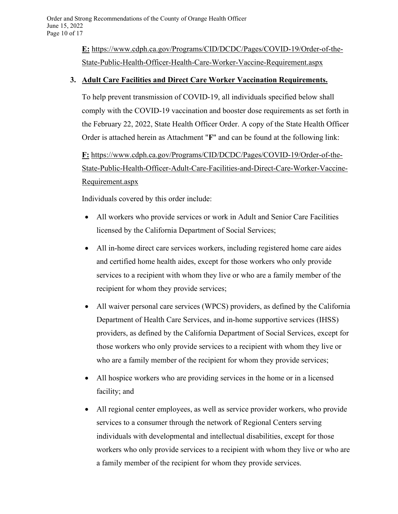**E:** [https://www.cdph.ca.gov/Programs/CID/DCDC/Pages/COVID-19/Order-of-the-](https://www.cdph.ca.gov/Programs/CID/DCDC/Pages/COVID-19/Order-of-the-State-Public-Health-Officer-Correctional-Facilities-and-Detention-Centers-Health-Care-Worker-Vaccination-Order.aspx)[State-Public-Health-Officer-Health-Care-Worker-Vaccine-Requirement.aspx](https://www.cdph.ca.gov/Programs/CID/DCDC/Pages/COVID-19/Order-of-the-State-Public-Health-Officer-Correctional-Facilities-and-Detention-Centers-Health-Care-Worker-Vaccination-Order.aspx)

### **3. Adult Care Facilities and Direct Care Worker Vaccination Requirements.**

To help prevent transmission of COVID-19, all individuals specified below shall comply with the COVID-19 vaccination and booster dose requirements as set forth in the February 22, 2022, State Health Officer Order. A copy of the State Health Officer Order is attached herein as Attachment "**F**" and can be found at the following link:

**F:** [https://www.cdph.ca.gov/Programs/CID/DCDC/Pages/COVID-19/Order-of-the-](https://www.cdph.ca.gov/Programs/CID/DCDC/Pages/COVID-19/Order-of-the-State-Public-Health-Officer-Adult-Care-Facilities-and-Direct-Care-Worker-Vaccine-Requirement.aspx)[State-Public-Health-Officer-Adult-Care-Facilities-and-Direct-Care-Worker-Vaccine-](https://www.cdph.ca.gov/Programs/CID/DCDC/Pages/COVID-19/Order-of-the-State-Public-Health-Officer-Adult-Care-Facilities-and-Direct-Care-Worker-Vaccine-Requirement.aspx)[Requirement.aspx](https://www.cdph.ca.gov/Programs/CID/DCDC/Pages/COVID-19/Order-of-the-State-Public-Health-Officer-Adult-Care-Facilities-and-Direct-Care-Worker-Vaccine-Requirement.aspx)

Individuals covered by this order include:

- All workers who provide services or work in Adult and Senior Care Facilities licensed by the California Department of Social Services;
- All in-home direct care services workers, including registered home care aides and certified home health aides, except for those workers who only provide services to a recipient with whom they live or who are a family member of the recipient for whom they provide services;
- All waiver personal care services (WPCS) providers, as defined by the California Department of Health Care Services, and in-home supportive services (IHSS) providers, as defined by the California Department of Social Services, except for those workers who only provide services to a recipient with whom they live or who are a family member of the recipient for whom they provide services;
- All hospice workers who are providing services in the home or in a licensed facility; and
- All regional center employees, as well as service provider workers, who provide services to a consumer through the network of Regional Centers serving individuals with developmental and intellectual disabilities, except for those workers who only provide services to a recipient with whom they live or who are a family member of the recipient for whom they provide services.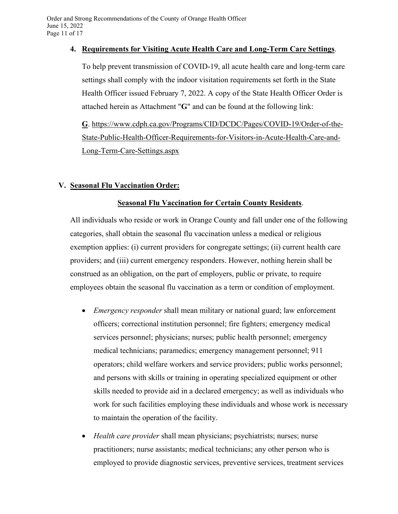#### **4. Requirements for Visiting Acute Health Care and Long-Term Care Settings**.

To help prevent transmission of COVID-19, all acute health care and long-term care settings shall comply with the indoor visitation requirements set forth in the State Health Officer issued February 7, 2022. A copy of the State Health Officer Order is attached herein as Attachment "**G**" and can be found at the following link:

**G**. [https://www.cdph.ca.gov/Programs/CID/DCDC/Pages/COVID-19/Order-of-the-](https://www.cdph.ca.gov/Programs/CID/DCDC/Pages/COVID-19/Order-of-the-State-Public-Health-Officer-Requirements-for-Visitors-in-Acute-Health-Care-and-Long-Term-Care-Settings.aspx)[State-Public-Health-Officer-Requirements-for-Visitors-in-Acute-Health-Care-and-](https://www.cdph.ca.gov/Programs/CID/DCDC/Pages/COVID-19/Order-of-the-State-Public-Health-Officer-Requirements-for-Visitors-in-Acute-Health-Care-and-Long-Term-Care-Settings.aspx)[Long-Term-Care-Settings.aspx](https://www.cdph.ca.gov/Programs/CID/DCDC/Pages/COVID-19/Order-of-the-State-Public-Health-Officer-Requirements-for-Visitors-in-Acute-Health-Care-and-Long-Term-Care-Settings.aspx)

### **V. Seasonal Flu Vaccination Order:**

### **Seasonal Flu Vaccination for Certain County Residents**.

All individuals who reside or work in Orange County and fall under one of the following categories, shall obtain the seasonal flu vaccination unless a medical or religious exemption applies: (i) current providers for congregate settings; (ii) current health care providers; and (iii) current emergency responders. However, nothing herein shall be construed as an obligation, on the part of employers, public or private, to require employees obtain the seasonal flu vaccination as a term or condition of employment.

- *Emergency responder* shall mean military or national guard; law enforcement officers; correctional institution personnel; fire fighters; emergency medical services personnel; physicians; nurses; public health personnel; emergency medical technicians; paramedics; emergency management personnel; 911 operators; child welfare workers and service providers; public works personnel; and persons with skills or training in operating specialized equipment or other skills needed to provide aid in a declared emergency; as well as individuals who work for such facilities employing these individuals and whose work is necessary to maintain the operation of the facility.
- *Health care provider* shall mean physicians; psychiatrists; nurses; nurse practitioners; nurse assistants; medical technicians; any other person who is employed to provide diagnostic services, preventive services, treatment services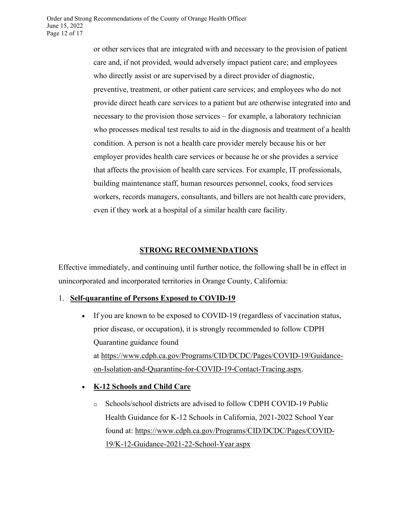or other services that are integrated with and necessary to the provision of patient care and, if not provided, would adversely impact patient care; and employees who directly assist or are supervised by a direct provider of diagnostic, preventive, treatment, or other patient care services; and employees who do not provide direct heath care services to a patient but are otherwise integrated into and necessary to the provision those services – for example, a laboratory technician who processes medical test results to aid in the diagnosis and treatment of a health condition. A person is not a health care provider merely because his or her employer provides health care services or because he or she provides a service that affects the provision of health care services. For example, IT professionals, building maintenance staff, human resources personnel, cooks, food services workers, records managers, consultants, and billers are not health care providers, even if they work at a hospital of a similar health care facility.

### **STRONG RECOMMENDATIONS**

Effective immediately, and continuing until further notice, the following shall be in effect in unincorporated and incorporated territories in Orange County, California:

#### 1. **Self-quarantine of Persons Exposed to COVID-19**

- If you are known to be exposed to COVID-19 (regardless of vaccination status, prior disease, or occupation), it is strongly recommended to follow CDPH Quarantine guidance found at [https://www.cdph.ca.gov/Programs/CID/DCDC/Pages/COVID-19/Guidance](https://www.cdph.ca.gov/Programs/CID/DCDC/Pages/COVID-19/Guidance-on-Isolation-and-Quarantine-for-COVID-19-Contact-Tracing.aspx)[on-Isolation-and-Quarantine-for-COVID-19-Contact-Tracing.aspx.](https://www.cdph.ca.gov/Programs/CID/DCDC/Pages/COVID-19/Guidance-on-Isolation-and-Quarantine-for-COVID-19-Contact-Tracing.aspx)
- **K-12 Schools and Child Care**
	- o Schools/school districts are advised to follow CDPH COVID-19 Public Health Guidance for K-12 Schools in California, 2021-2022 School Year found at: [https://www.cdph.ca.gov/Programs/CID/DCDC/Pages/COVID-](https://www.cdph.ca.gov/Programs/CID/DCDC/Pages/COVID-19/K-12-Guidance-2021-22-School-Year.aspx)[19/K-12-Guidance-2021-22-School-Year.aspx](https://www.cdph.ca.gov/Programs/CID/DCDC/Pages/COVID-19/K-12-Guidance-2021-22-School-Year.aspx)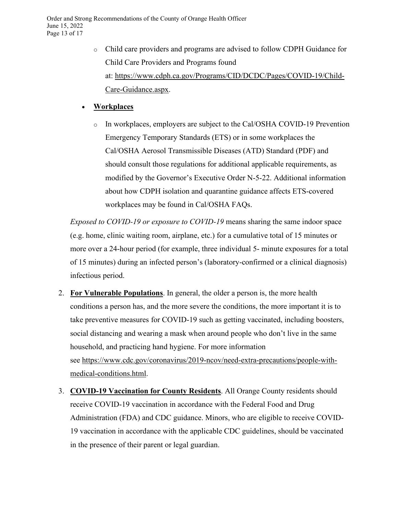o Child care providers and programs are advised to follow CDPH Guidance for Child Care Providers and Programs found at: [https://www.cdph.ca.gov/Programs/CID/DCDC/Pages/COVID-19/Child-](https://www.cdph.ca.gov/Programs/CID/DCDC/Pages/COVID-19/Child-Care-Guidance.aspx)[Care-Guidance.aspx.](https://www.cdph.ca.gov/Programs/CID/DCDC/Pages/COVID-19/Child-Care-Guidance.aspx)

### • **Workplaces**

o In workplaces, employers are subject to the Cal/OSHA COVID-19 Prevention Emergency Temporary Standards (ETS) or in some workplaces the Cal/OSHA Aerosol Transmissible Diseases (ATD) Standard (PDF) and should consult those regulations for additional applicable requirements, as modified by the Governor's Executive Order N-5-22. Additional information about how CDPH isolation and quarantine guidance affects ETS-covered workplaces may be found in Cal/OSHA FAQs.

*Exposed to COVID-19 or exposure to COVID-19* means sharing the same indoor space (e.g. home, clinic waiting room, airplane, etc.) for a cumulative total of 15 minutes or more over a 24-hour period (for example, three individual 5- minute exposures for a total of 15 minutes) during an infected person's (laboratory-confirmed or a clinical diagnosis) infectious period.

- 2. **For Vulnerable Populations**. In general, the older a person is, the more health conditions a person has, and the more severe the conditions, the more important it is to take preventive measures for COVID-19 such as getting vaccinated, including boosters, social distancing and wearing a mask when around people who don't live in the same household, and practicing hand hygiene. For more information see [https://www.cdc.gov/coronavirus/2019-ncov/need-extra-precautions/people-with](https://www.cdc.gov/coronavirus/2019-ncov/need-extra-precautions/people-with-medical-conditions.html)[medical-conditions.html.](https://www.cdc.gov/coronavirus/2019-ncov/need-extra-precautions/people-with-medical-conditions.html)
- 3. **COVID-19 Vaccination for County Residents**. All Orange County residents should receive COVID-19 vaccination in accordance with the Federal Food and Drug Administration (FDA) and CDC guidance. Minors, who are eligible to receive COVID-19 vaccination in accordance with the applicable CDC guidelines, should be vaccinated in the presence of their parent or legal guardian.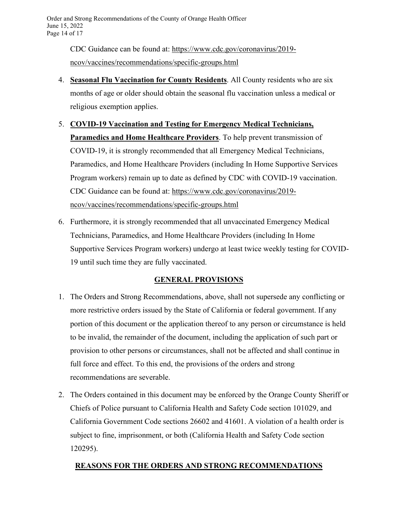CDC Guidance can be found at: [https://www.cdc.gov/coronavirus/2019](https://www.cdc.gov/coronavirus/2019-ncov/vaccines/recommendations/specific-groups.html) [ncov/vaccines/recommendations/specific-groups.html](https://www.cdc.gov/coronavirus/2019-ncov/vaccines/recommendations/specific-groups.html)

- 4. **Seasonal Flu Vaccination for County Residents**. All County residents who are six months of age or older should obtain the seasonal flu vaccination unless a medical or religious exemption applies.
- 5. **COVID-19 Vaccination and Testing for Emergency Medical Technicians, Paramedics and Home Healthcare Providers**. To help prevent transmission of COVID-19, it is strongly recommended that all Emergency Medical Technicians, Paramedics, and Home Healthcare Providers (including In Home Supportive Services Program workers) remain up to date as defined by CDC with COVID-19 vaccination. CDC Guidance can be found at: [https://www.cdc.gov/coronavirus/2019](https://www.cdc.gov/coronavirus/2019-ncov/vaccines/recommendations/specific-groups.html) [ncov/vaccines/recommendations/specific-groups.html](https://www.cdc.gov/coronavirus/2019-ncov/vaccines/recommendations/specific-groups.html)
- 6. Furthermore, it is strongly recommended that all unvaccinated Emergency Medical Technicians, Paramedics, and Home Healthcare Providers (including In Home Supportive Services Program workers) undergo at least twice weekly testing for COVID-19 until such time they are fully vaccinated.

## **GENERAL PROVISIONS**

- 1. The Orders and Strong Recommendations, above, shall not supersede any conflicting or more restrictive orders issued by the State of California or federal government. If any portion of this document or the application thereof to any person or circumstance is held to be invalid, the remainder of the document, including the application of such part or provision to other persons or circumstances, shall not be affected and shall continue in full force and effect. To this end, the provisions of the orders and strong recommendations are severable.
- 2. The Orders contained in this document may be enforced by the Orange County Sheriff or Chiefs of Police pursuant to California Health and Safety Code section 101029, and California Government Code sections 26602 and 41601. A violation of a health order is subject to fine, imprisonment, or both (California Health and Safety Code section 120295).

## **REASONS FOR THE ORDERS AND STRONG RECOMMENDATIONS**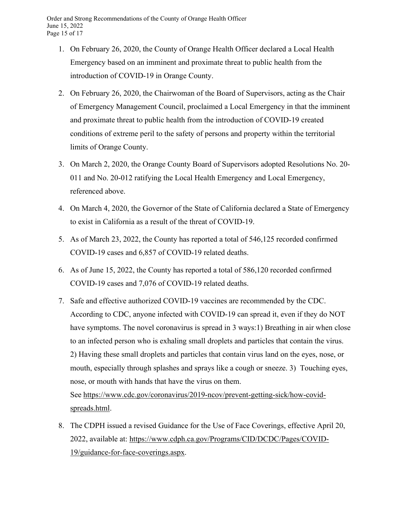- 1. On February 26, 2020, the County of Orange Health Officer declared a Local Health Emergency based on an imminent and proximate threat to public health from the introduction of COVID-19 in Orange County.
- 2. On February 26, 2020, the Chairwoman of the Board of Supervisors, acting as the Chair of Emergency Management Council, proclaimed a Local Emergency in that the imminent and proximate threat to public health from the introduction of COVID-19 created conditions of extreme peril to the safety of persons and property within the territorial limits of Orange County.
- 3. On March 2, 2020, the Orange County Board of Supervisors adopted Resolutions No. 20- 011 and No. 20-012 ratifying the Local Health Emergency and Local Emergency, referenced above.
- 4. On March 4, 2020, the Governor of the State of California declared a State of Emergency to exist in California as a result of the threat of COVID-19.
- 5. As of March 23, 2022, the County has reported a total of 546,125 recorded confirmed COVID-19 cases and 6,857 of COVID-19 related deaths.
- 6. As of June 15, 2022, the County has reported a total of 586,120 recorded confirmed COVID-19 cases and 7,076 of COVID-19 related deaths.
- 7. Safe and effective authorized COVID-19 vaccines are recommended by the CDC. According to CDC, anyone infected with COVID-19 can spread it, even if they do NOT have symptoms. The novel coronavirus is spread in 3 ways: 1) Breathing in air when close to an infected person who is exhaling small droplets and particles that contain the virus. 2) Having these small droplets and particles that contain virus land on the eyes, nose, or mouth, especially through splashes and sprays like a cough or sneeze. 3) Touching eyes, nose, or mouth with hands that have the virus on them. See [https://www.cdc.gov/coronavirus/2019-ncov/prevent-getting-sick/how-covid-](https://www.cdc.gov/coronavirus/2019-ncov/prevent-getting-sick/how-covid-spreads.html)

[spreads.html.](https://www.cdc.gov/coronavirus/2019-ncov/prevent-getting-sick/how-covid-spreads.html)

8. The CDPH issued a revised Guidance for the Use of Face Coverings, effective April 20, 2022, available at: [https://www.cdph.ca.gov/Programs/CID/DCDC/Pages/COVID-](https://www.cdph.ca.gov/Programs/CID/DCDC/Pages/COVID-19/guidance-for-face-coverings.aspx)[19/guidance-for-face-coverings.aspx.](https://www.cdph.ca.gov/Programs/CID/DCDC/Pages/COVID-19/guidance-for-face-coverings.aspx)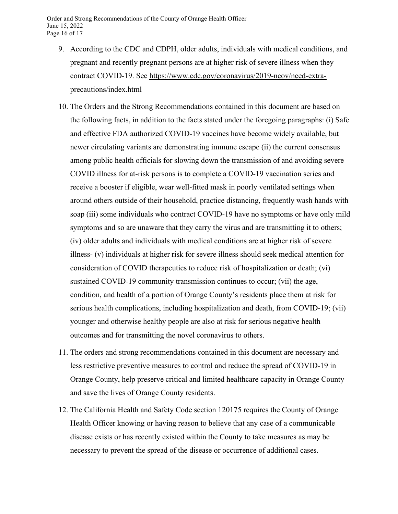- 9. According to the CDC and CDPH, older adults, individuals with medical conditions, and pregnant and recently pregnant persons are at higher risk of severe illness when they contract COVID-19. See [https://www.cdc.gov/coronavirus/2019-ncov/need-extra](https://www.cdc.gov/coronavirus/2019-ncov/need-extra-precautions/index.html)[precautions/index.html](https://www.cdc.gov/coronavirus/2019-ncov/need-extra-precautions/index.html)
- 10. The Orders and the Strong Recommendations contained in this document are based on the following facts, in addition to the facts stated under the foregoing paragraphs: (i) Safe and effective FDA authorized COVID-19 vaccines have become widely available, but newer circulating variants are demonstrating immune escape (ii) the current consensus among public health officials for slowing down the transmission of and avoiding severe COVID illness for at-risk persons is to complete a COVID-19 vaccination series and receive a booster if eligible, wear well-fitted mask in poorly ventilated settings when around others outside of their household, practice distancing, frequently wash hands with soap (iii) some individuals who contract COVID-19 have no symptoms or have only mild symptoms and so are unaware that they carry the virus and are transmitting it to others; (iv) older adults and individuals with medical conditions are at higher risk of severe illness- (v) individuals at higher risk for severe illness should seek medical attention for consideration of COVID therapeutics to reduce risk of hospitalization or death; (vi) sustained COVID-19 community transmission continues to occur; (vii) the age, condition, and health of a portion of Orange County's residents place them at risk for serious health complications, including hospitalization and death, from COVID-19; (vii) younger and otherwise healthy people are also at risk for serious negative health outcomes and for transmitting the novel coronavirus to others.
- 11. The orders and strong recommendations contained in this document are necessary and less restrictive preventive measures to control and reduce the spread of COVID-19 in Orange County, help preserve critical and limited healthcare capacity in Orange County and save the lives of Orange County residents.
- 12. The California Health and Safety Code section 120175 requires the County of Orange Health Officer knowing or having reason to believe that any case of a communicable disease exists or has recently existed within the County to take measures as may be necessary to prevent the spread of the disease or occurrence of additional cases.